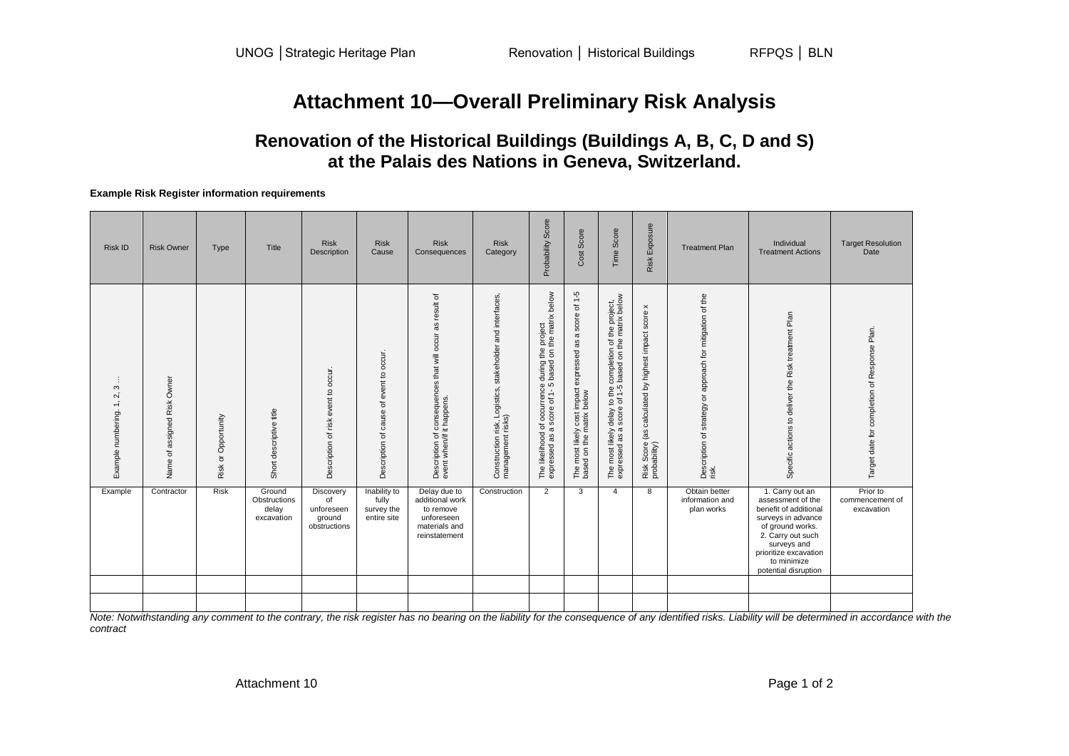# **Attachment 10—Overall Preliminary Risk Analysis**

## **Renovation of the Historical Buildings (Buildings A, B, C, D and S) at the Palais des Nations in Geneva, Switzerland.**

#### **Example Risk Register information requirements**

| <b>Risk ID</b>                                                 | <b>Risk Owner</b>                                    | Type                     | Title                                         | <b>Risk</b><br>Description                                  | <b>Risk</b><br>Cause                               | <b>Risk</b><br>Consequences                                                                             | <b>Risk</b><br>Category                                                                                | Score<br>Probability                                                                                                                                              | Cost Score                                                                                             | Score<br>Time                                                                                                                                            | Exposure<br>Risk                                                                       | <b>Treatment Plan</b>                                                                    | Individual<br><b>Treatment Actions</b>                                                                                                                                                                      | <b>Target Resolution</b><br>Date             |
|----------------------------------------------------------------|------------------------------------------------------|--------------------------|-----------------------------------------------|-------------------------------------------------------------|----------------------------------------------------|---------------------------------------------------------------------------------------------------------|--------------------------------------------------------------------------------------------------------|-------------------------------------------------------------------------------------------------------------------------------------------------------------------|--------------------------------------------------------------------------------------------------------|----------------------------------------------------------------------------------------------------------------------------------------------------------|----------------------------------------------------------------------------------------|------------------------------------------------------------------------------------------|-------------------------------------------------------------------------------------------------------------------------------------------------------------------------------------------------------------|----------------------------------------------|
| S<br>$\overline{N}$<br>$\overline{ }$<br>numbering.<br>Example | Risk Owner<br>assigned<br>$\rm \overline{o}$<br>Name | Opportunity<br>ŏ<br>Risk | Short descriptive title                       | occur.<br>$\mathtt{S}$<br>event t<br>of risk<br>Description | occur.<br>event to<br>đ<br>Description of cause    | ৳<br>result<br>æ<br>occur<br>that will<br>consequences t<br>it happens.<br>$\equiv$<br>Description of a | interfaces,<br>stakeholder and<br>Logistics,<br>risk, Lo<br>t risks)<br>Construction r<br>management i | below<br>project<br>the matrix b<br>the<br>$\mathsf{S}$<br>during t<br>occurrence<br>score of 1-5 l<br>score<br>৳<br>$\varpi$<br>The likelihood<br>æ<br>expressed | score of 1-5<br>$\varpi$<br>æ<br>expressed<br>The most likely cost impact<br>based on the matrix below | the project,<br>matrix below<br>the<br>the completion of the r<br>f 1-5 based on the r<br>$\frac{1}{9}$<br>The most likely delay<br>expressed as a score | $\times$<br>score<br>calculated by highest impact<br>es)<br>Risk Score<br>probability) | approach for mitigation of the<br>$\rm \overline{o}$<br>Description of strategy<br>risk. | Plan<br>Risk treatment<br>Specific actions to deliver the                                                                                                                                                   | Target date for completion of Response Plan. |
| Example                                                        | Contractor                                           | <b>Risk</b>              | Ground<br>Obstructions<br>delay<br>excavation | Discovery<br>of<br>unforeseen<br>ground<br>obstructions     | Inability to<br>fully<br>survey the<br>entire site | Delay due to<br>additional work<br>to remove<br>unforeseen<br>materials and<br>reinstatement            | Construction                                                                                           | 2                                                                                                                                                                 | 3                                                                                                      | $\overline{4}$                                                                                                                                           | 8                                                                                      | Obtain better<br>information and<br>plan works                                           | 1. Carry out an<br>assessment of the<br>benefit of additional<br>surveys in advance<br>of ground works.<br>2. Carry out such<br>surveys and<br>prioritize excavation<br>to minimize<br>potential disruption | Prior to<br>commencement of<br>excavation    |
|                                                                |                                                      |                          |                                               |                                                             |                                                    |                                                                                                         |                                                                                                        |                                                                                                                                                                   |                                                                                                        |                                                                                                                                                          |                                                                                        |                                                                                          |                                                                                                                                                                                                             |                                              |

*Note: Notwithstanding any comment to the contrary, the risk register has no bearing on the liability for the consequence of any identified risks. Liability will be determined in accordance with the contract*